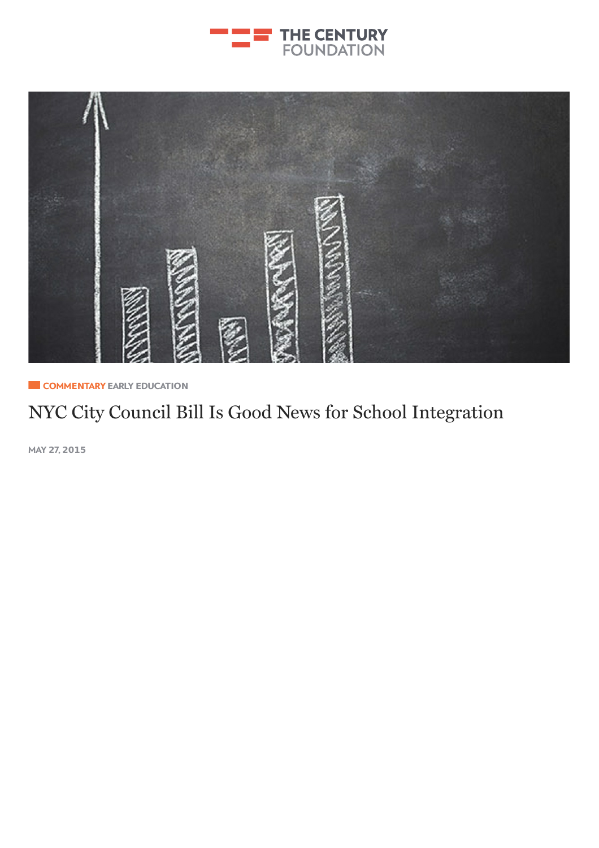



**E** COMMENTARY EARLY E[DUCAT](http://tcf.stage.a17.io/topics/education/early-education/)ION

## NYC City [Council](http://tcf.stage.a17.io/topics/rights-justice/democracy/) Bill Is Good News for School Integration

MAY **2**7, **2015**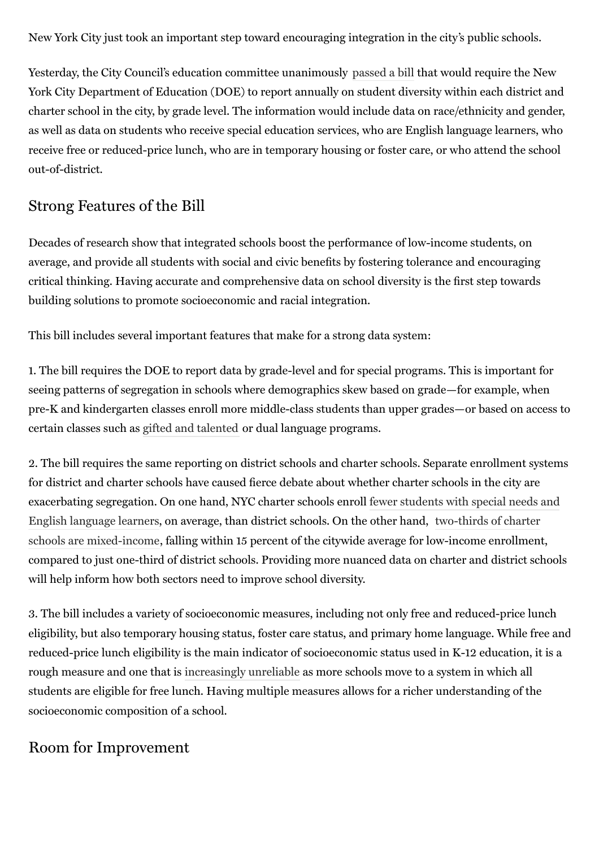New York City just took an important step toward encouraging integration in the city's public schools.

Yesterday, the City Council's education committee unanimously [passed](http://www.capitalnewyork.com/article/city-hall/2015/05/8568703/council-education-committee-passes-diversity-reporting-bill) a bill that would require the New York City Department of Education (DOE) to report annually on student diversity within each district and charter school in the city, by grade level. The information would include data on race/ethnicity and gender, as well as data on students who receive special education services, who are English language learners, who receive free or reduced-price lunch, who are in temporary housing or foster care, or who attend the school out-of-district.

## Strong Features of the Bill

Decades of research show that integrated schools boost the performance of low-income students, on average, and provide all students with social and civic benefits by fostering tolerance and encouraging critical thinking. Having accurate and comprehensive data on school diversity is the first step towards building solutions to promote socioeconomic and racial integration.

This bill includes several important features that make for a strong data system:

1. The bill requires the DOE to report data by grade-level and for special programs. This is important for seeing patterns of segregation in schools where demographics skew based on grade—for example, when pre-K and kindergarten classes enroll more middle-class students than upper grades—or based on access to certain classes such as gifted and [talented](http://www.nytimes.com/roomfordebate/2014/06/03/are-new-york-citys-gifted-classrooms-useful-or-harmful/eliminate-gifted-tracks-and-expand-to-a-schoolwide-approach) or dual language programs.

2. The bill requires the same reporting on district schools and charter schools. Separate enrollment systems for district and charter schools have caused fierce debate about whether charter schools in the city are [exacerbating](http://www.capitalnewyork.com/article/city-hall/2014/10/8553948/study-fewer-english-learners-charters-district-schools) segregation. On one hand, NYC charter schools enroll fewer students with special needs and English language learners, on average, than district schools. On the other hand, two-thirds of charter schools are [mixed-income,](https://drive.google.com/a/tcf.org/folderview?id=0B5s3pWtfB3cab1FWM0J2ZnVIN2c&usp=drive_web#) falling within 15 percent of the citywide average for low-income enrollment, compared to just one-third of district schools. Providing more nuanced data on charter and district schools will help inform how both sectors need to improve school diversity.

3. The bill includes a variety of socioeconomic measures, including not only free and reduced-price lunch eligibility, but also temporary housing status, foster care status, and primary home language. While free and reduced-price lunch eligibility is the main indicator of socioeconomic status used in K-12 education, it is a rough measure and one that is [increasingly](http://www.npr.org/sections/ed/2015/05/10/403577696/counting-poor-students-is-getting-harder) unreliable as more schools move to a system in which all students are eligible for free lunch. Having multiple measures allows for a richer understanding of the socioeconomic composition of a school.

## Room for Improvement